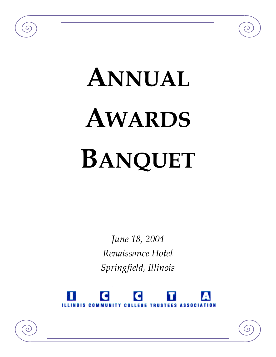# **ANNUAL AWARDS BANQUET**

 $\sigma$ 

 $\overline{c}$ 

*June 18, 2004 Renaissance Hotel Springfield, Illinois*



(၁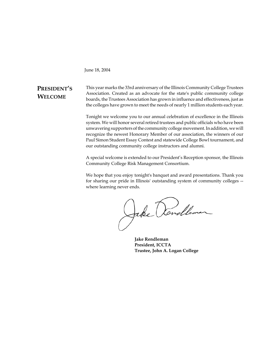June 18, 2004

## **PRESIDENT'S WELCOME**

This year marks the 33rd anniversary of the Illinois Community College Trustees Association. Created as an advocate for the state's public community college boards, the Trustees Association has grown in influence and effectiveness, just as the colleges have grown to meet the needs of nearly 1 million students each year.

Tonight we welcome you to our annual celebration of excellence in the Illinois system. We will honor several retired trustees and public officials who have been unwavering supporters of the community college movement. In addition, we will recognize the newest Honorary Member of our association, the winners of our Paul Simon Student Essay Contest and statewide College Bowl tournament, and our outstanding community college instructors and alumni.

A special welcome is extended to our President's Reception sponsor, the Illinois Community College Risk Management Consortium.

We hope that you enjoy tonight's banquet and award presentations. Thank you for sharing our pride in Illinois' outstanding system of community colleges - where learning never ends.

Jake Rondleman

**Jake Rendleman President, ICCTA Trustee, John A. Logan College**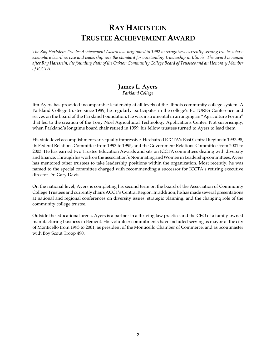# **RAY HARTSTEIN TRUSTEE ACHIEVEMENT AWARD**

*The Ray Hartstein Trustee Achievement Award was originated in 1992 to recognize a currently serving trustee whose exemplary board service and leadership sets the standard for outstanding trusteeship in Illinois. The award is named after Ray Hartstein, the founding chair of the Oakton Community College Board of Trustees and an Honorary Member of ICCTA.*

# **James L. Ayers**

*Parkland College*

Jim Ayers has provided incomparable leadership at all levels of the Illinois community college system. A Parkland College trustee since 1989, he regularly participates in the college's FUTURES Conference and serves on the board of the Parkland Foundation. He was instrumental in arranging an "Agriculture Forum" that led to the creation of the Tony Noel Agricultural Technology Applications Center. Not surprisingly, when Parkland's longtime board chair retired in 1999, his fellow trustees turned to Ayers to lead them.

His state-level accomplishments are equally impressive. He chaired ICCTA's East Central Region in 1997-98, its Federal Relations Committee from 1993 to 1995, and the Government Relations Committee from 2001 to 2003. He has earned two Trustee Education Awards and sits on ICCTA committees dealing with diversity and finance. Through his work on the association's Nominating and Women in Leadership committees, Ayers has mentored other trustees to take leadership positions within the organization. Most recently, he was named to the special committee charged with recommending a successor for ICCTA's retiring executive director Dr. Gary Davis.

On the national level, Ayers is completing his second term on the board of the Association of Community College Trustees and currently chairs ACCT's Central Region. In addition, he has made several presentations at national and regional conferences on diversity issues, strategic planning, and the changing role of the community college trustee.

Outside the educational arena, Ayers is a partner in a thriving law practice and the CEO of a family-owned manufacturing business in Bement. His volunteer commitments have included serving as mayor of the city of Monticello from 1993 to 2001, as president of the Monticello Chamber of Commerce, and as Scoutmaster with Boy Scout Troop 490.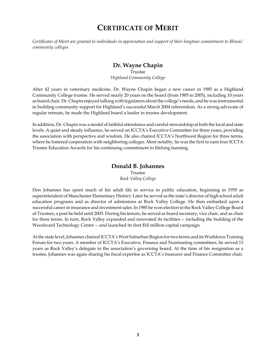# **CERTIFICATE OF MERIT**

*Certificates of Merit are granted to individuals in appreciation and support of their longtime commitment to Illinois' community colleges.*

## **Dr. Wayne Chapin**

Trustee *Highland Community College*

After 42 years in veterinary medicine, Dr. Wayne Chapin began a new career in 1985 as a Highland Community College trustee. He served nearly 20 years on the board (from 1985 to 2003), including 10 years as board chair. Dr. Chapin enjoyed talking with legislators about the college's needs, and he was instrumental in building community support for Highland's successful March 2004 referendum. As a strong advocate of regular retreats, he made the Highland board a leader in trustee development.

In addition, Dr. Chapin was a model of faithful attendance and careful stewardship at both the local and state levels. A quiet and steady influence, he served on ICCTA's Executive Committee for three years, providing the association with perspective and wisdom. He also chaired ICCTA's Northwest Region for three terms, where he fostered cooperation with neighboring colleges. Most notably, he was the first to earn four ICCTA Trustee Education Awards for his continuing commitment to lifelong learning.

#### **Donald B. Johannes** Trustee *Rock Valley College*

Don Johannes has spent much of his adult life in service to public education, beginning in 1959 as superintendent of Manchester Elementary District. Later he served as the state's director of high school adult education programs and as director of admissions at Rock Valley College. He then embarked upon a successful career in insurance and investment sales. In 1985 he won election to the Rock Valley College Board of Trustees, a post he held until 2003. During his tenure, he served as board secretary, vice chair, and as chair for three terms. In turn, Rock Valley expanded and renovated its facilities -- including the building of the Woodward Technology Center -- and launched its first \$10 million capital campaign.

At the state level, Johannes chaired ICCTA's West Suburban Region for two terms and its Workforce Training Forum for two years. A member of ICCTA's Executive, Finance and Nominating committees, he served 13 years as Rock Valley's delegate to the association's governing board. At the time of his resignation as a trustee, Johannes was again sharing his fiscal expertise as ICCTA's treasurer and Finance Committee chair.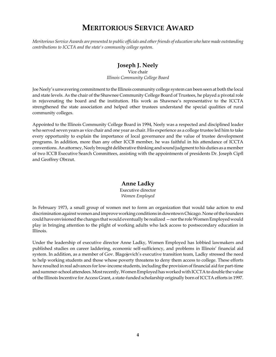# **MERITORIOUS SERVICE AWARD**

*Meritorious Service Awards are presented to public officials and other friends of education who have made outstanding contributions to ICCTA and the state's community college system.*

## **Joseph J. Neely**

Vice chair *Illinois Community College Board*

Joe Neely's unwavering commitment to the Illinois community college system can been seen at both the local and state levels. As the chair of the Shawnee Community College Board of Trustees, he played a pivotal role in rejuvenating the board and the institution. His work as Shawnee's representative to the ICCTA strengthened the state association and helped other trustees understand the special qualities of rural community colleges.

Appointed to the Illinois Community College Board in 1994, Neely was a respected and disciplined leader who served seven years as vice chair and one year as chair. His experience as a college trustee led him to take every opportunity to explain the importance of local governance and the value of trustee development programs. In addition, more than any other ICCB member, he was faithful in his attendance of ICCTA conventions. An attorney, Neely brought deliberative thinking and sound judgment to his duties as a member of two ICCB Executive Search Committees, assisting with the appointments of presidents Dr. Joseph Cipfl and Geoffrey Obrzut.

#### **Anne Ladky**

Executive director *Women Employed*

In February 1973, a small group of women met to form an organization that would take action to end discrimination against women and improve working conditions in downtown Chicago. None of the founders could have envisioned the changes that would eventually be realized —nor the role Women Employed would play in bringing attention to the plight of working adults who lack access to postsecondary education in Illinois.

Under the leadership of executive director Anne Ladky, Women Employed has lobbied lawmakers and published studies on career laddering, economic self-sufficiency, and problems in Illinois' financial aid system. In addition, as a member of Gov. Blagojevich's executive transition team, Ladky stressed the need to help working students and those whose poverty threatens to deny them access to college. These efforts have resulted in real advances for low-income students, including the provision of financial aid for part-time and summer-school attendees. Most recently, Women Employed has worked with ICCTA to double the value of the Illinois Incentive for Access Grant, a state-funded scholarship originally born of ICCTA efforts in 1997.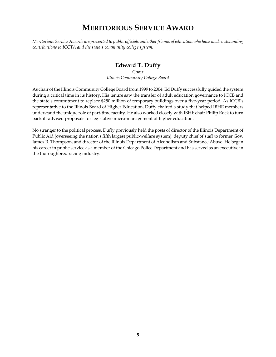# **MERITORIOUS SERVICE AWARD**

*Meritorious Service Awards are presented to public officials and other friends of education who have made outstanding contributions to ICCTA and the state's community college system.*

## **Edward T. Duffy**

Chair *Illinois Community College Board*

As chair of the Illinois Community College Board from 1999 to 2004, Ed Duffy successfully guided the system during a critical time in its history. His tenure saw the transfer of adult education governance to ICCB and the state's commitment to replace \$250 million of temporary buildings over a five-year period. As ICCB's representative to the Illinois Board of Higher Education, Duffy chaired a study that helped IBHE members understand the unique role of part-time faculty. He also worked closely with IBHE chair Philip Rock to turn back ill-advised proposals for legislative micro-management of higher education.

No stranger to the political process, Duffy previously held the posts of director of the Illinois Department of Public Aid (overseeing the nation's fifth largest public-welfare system), deputy chief of staff to former Gov. James R. Thompson, and director of the Illinois Department of Alcoholism and Substance Abuse. He began his career in public service as a member of the Chicago Police Department and has served as an executive in the thoroughbred racing industry.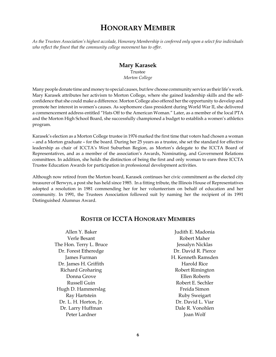# **HONORARY MEMBER**

*As the Trustees Association's highest accolade, Honorary Membership is conferred only upon a select few individuals who reflect the finest that the community college movement has to offer.*

#### **Mary Karasek**

Trustee *Morton College*

Many people donate time and money to special causes, but few choose community service as their life's work. Mary Karasek attributes her activism to Morton College, where she gained leadership skills and the selfconfidence that she could make a difference. Morton College also offered her the opportunity to develop and promote her interest in women's causes. As sophomore class president during World War II, she delivered a commencement address entitled "Hats Off to the American Woman." Later, as a member of the local PTA and the Morton High School Board, she successfully championed a budget to establish a women's athletics program.

Karasek's election as a Morton College trustee in 1976 marked the first time that voters had chosen a woman – and a Morton graduate – for the board. During her 25 years as a trustee, she set the standard for effective leadership as chair of ICCTA's West Suburban Region, as Morton's delegate to the ICCTA Board of Representatives, and as a member of the association's Awards, Nominating, and Government Relations committees. In addition, she holds the distinction of being the first and only woman to earn three ICCTA Trustee Education Awards for participation in professional development activities.

Although now retired from the Morton board, Karasek continues her civic commitment as the elected city treasurer of Berwyn, a post she has held since 1985. In a fitting tribute, the Illinois House of Representatives adopted a resolution in 1981 commending her for her volunteerism on behalf of education and her community. In 1991, the Trustees Association followed suit by naming her the recipient of its 1991 Distinguished Alumnus Award.

| Allen Y. Baker          | Judith E. Madonia   |
|-------------------------|---------------------|
| Verle Besant            | Robert Maher        |
| The Hon. Terry L. Bruce | Jessalyn Nicklas    |
| Dr. Forest Etheredge    | Dr. David R. Pierce |
| James Furman            | H. Kenneth Ramsden  |
| Dr. James H. Griffith   | Harold Rice         |
| Richard Groharing       | Robert Rimington    |
| Donna Grove             | Ellen Roberts       |
| Russell Guin            | Robert E. Sechler   |
| Hugh D. Hammerslag      | Freida Simon        |
| Ray Hartstein           | Ruby Sweigart       |
| Dr. L. H. Horton, Jr.   | Dr. David L. Viar   |
| Dr. Larry Huffman       | Dale R. Vonohlen    |
| Peter Lardner           | Joan Wolf           |
|                         |                     |

## **ROSTER OF ICCTA HONORARY MEMBERS**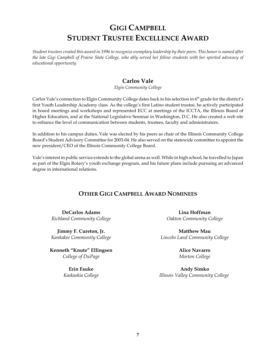# **GIGI CAMPBELL STUDENT TRUSTEE EXCELLENCE AWARD**

*Student trustees created this award in 1996 to recognize exemplary leadership by their peers. This honor is named after the late Gigi Campbell of Prairie State College, who ably served her fellow students with her spirited advocacy of educational opportunity.*

## **Carlos Vale**

*Elgin Community College*

Carlos Vale's connection to Elgin Community College dates back to his selection in 6<sup>th</sup> grade for the district's first Youth Leadership Academy class. As the college's first Latino student trustee, he actively participated in board meetings and workshops and represented ECC at meetings of the ICCTA, the Illinois Board of Higher Education, and at the National Legislative Seminar in Washington, D.C. He also created a web site to enhance the level of communication between students, trustees, faculty and administrators.

In addition to his campus duties, Vale was elected by his peers as chair of the Illinois Community College Board's Student Advisory Committee for 2003-04. He also served on the statewide committee to appoint the new president/CEO of the Illinois Community College Board.

Vale's interest in public service extends to the global arena as well. While in high school, he travelled to Japan as part of the Elgin Rotary's youth exchange program, and his future plans include pursuing an advanced degree in international relations.

## **OTHER GIGI CAMPBELL AWARD NOMINEES**

**DeCarlos Adams** *Richland Community College*

**Jimmy F. Cureton, Jr.** *Kankakee Community College*

**Kenneth "Knute" Ellingsen** *College of DuPage*

> **Erin Fauke** *Kaskaskia College*

**Lina Hoffman** *Oakton Community College*

**Matthew Mau** *Lincoln Land Community College*

> **Alice Navarro** *Morton College*

**Andy Simko** *Illinois Valley Community College*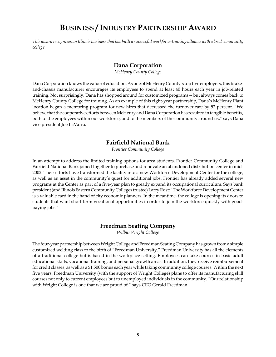# **BUSINESS / INDUSTRY PARTNERSHIP AWARD**

*This award recognizes an Illinois business that has built a successful workforce-training alliance with a local community college.*

#### **Dana Corporation**

*McHenry County College*

Dana Corporation knows the value of education. As one of McHenry County's top five employers, this brakeand-chassis manufacturer encourages its employees to spend at least 40 hours each year in job-related training. Not surprisingly, Dana has shopped around for customized programs -- but always comes back to McHenry County College for training. As an example of this eight-year partnership, Dana's McHenry Plant location began a mentoring program for new hires that decreased the turnover rate by 52 percent. "We believe that the cooperative efforts between McHenry and Dana Corporation has resulted in tangible benefits, both to the employees within our workforce, and to the members of the community around us," says Dana vice president Joe LaVarra.

#### **Fairfield National Bank**

*Frontier Community College*

In an attempt to address the limited training options for area students, Frontier Community College and Fairfield National Bank joined together to purchase and renovate an abandoned distribution center in mid-2002. Their efforts have transformed the facility into a new Workforce Development Center for the college, as well as an asset in the community's quest for additional jobs. Frontier has already added several new programs at the Center as part of a five-year plan to greatly expand its occupational curriculum. Says bank president (and Illinois Eastern Community Colleges trustee) Larry Rost: "The Workforce Development Center is a valuable card in the hand of city economic planners. In the meantime, the college is opening its doors to students that want short-term vocational opportunities in order to join the workforce quickly with goodpaying jobs."

#### **Freedman Seating Company**

*Wilbur Wright College*

The four-year partnership between Wright College and Freedman Seating Company has grown from a simple customized welding class to the birth of "Freedman University." Freedman University has all the elements of a traditional college but is based in the workplace setting. Employees can take courses in basic adult educational skills, vocational training, and personal growth areas. In addition, they receive reimbursement for credit classes, as well as a \$1,500 bonus each year while taking community college courses. Within the next five years, Freedman University (with the support of Wright College) plans to offer its manufacturing skill courses not only to current employees but to unemployed individuals in the community. "Our relationship with Wright College is one that we are proud of," says CEO Gerald Freedman.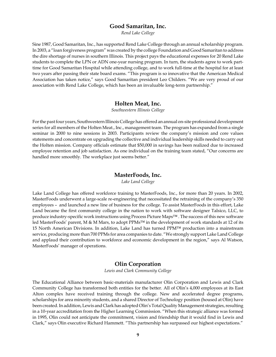#### **Good Samaritan, Inc.**

*Rend Lake College*

Sine 1987, Good Samaritan, Inc., has supported Rend Lake College through an annual scholarship program. In 2003, a "loan forgiveness program" was created by the college Foundation and Good Samaritan to address the dire shortage of nurses in southern Illinois. This project pays the educational expenses for 20 Rend Lake students to complete the LPN or ADN one-year nursing program. In turn, the students agree to work parttime for Good Samaritan Hospital while attending college, and to work full-time at the hospital for at least two years after passing their state board exams. "This program is so innovative that the American Medical Association has taken notice," says Good Samaritan president Leo Childers. "We are very proud of our association with Rend Lake College, which has been an invaluable long-term partnership."

#### **Holten Meat, Inc.**

*Southwestern Illinois College*

For the past four years, Southwestern Illinois College has offered an annual on-site professional development series for all members of the Holten Meat., Inc., management team. The program has expanded from a single seminar in 2000 to nine sessions in 2003. Participants review the company's mission and core values statements and concentrate on upgrading the collective and individual leadership skills needed to carry out the Holten mission. Company officials estimate that \$50,000 in savings has been realized due to increased employee retention and job satisfaction. As one individual on the training team stated, "Our concerns are handled more smoothly. The workplace just seems better."

#### **MasterFoods, Inc.**

*Lake Land College*

Lake Land College has offered workforce training to MasterFoods, Inc., for more than 20 years. In 2002, MasterFoods underwent a large-scale re-engineering that necessitated the retraining of the company's 350 employees – and launched a new line of business for the college. To assist MasterFoods in this effort, Lake Land became the first community college in the nation to work with software designer Talsico, LLC, to produce industry-specific work instructions using Process Picture Maps™ . The success of this new software led MasterFoods' parent, M & M Mars, to adopt PPMs™ in the development of work standards at 12 of its 15 North American Divisions. In addition, Lake Land has turned PPM™ production into a mainstream service, producing more than 700 PPMs for area companies to date. "We strongly support Lake Land College and applaud their contribution to workforce and economic development in the region," says Al Watson, MasterFoods' manager of operations.

#### **Olin Corporation**

*Lewis and Clark Community College*

The Educational Alliance between basic-materials manufacturer Olin Corporation and Lewis and Clark Community College has transformed both entities for the better. All of Olin's 4,000 employees at its East Alton complex have received training through the college. New and accelerated degree programs, scholarships for area minority students, and a shared Director of Technology position (housed at Olin) have been created. In addition, Lewis and Clark has adopted Olin's Total Quality Management strategies, resulting in a 10-year accreditation from the Higher Learning Commission. "When this strategic alliance was formed in 1995, Olin could not anticipate the commitment, vision and friendship that it would find in Lewis and Clark," says Olin executive Richard Hammett. "This partnership has surpassed our highest expectations."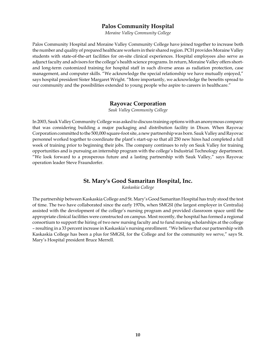#### **Palos Community Hospital**

*Moraine Valley Community College*

Palos Community Hospital and Moraine Valley Community College have joined together to increase both the number and quality of prepared healthcare workers in their shared region. PCH provides Moraine Valley students with state-of-the-art facilities for on-site clinical experiences. Hospital employees also serve as adjunct faculty and advisors for the college's health science programs. In return, Moraine Valley offers shortand long-term customized training for hospital staff in such diverse areas as radiation protection, case management, and computer skills. "We acknowledge the special relationship we have mutually enjoyed," says hospital president Sister Margaret Wright. "More importantly, we acknowledge the benefits spread to our community and the possibilities extended to young people who aspire to careers in healthcare."

#### **Rayovac Corporation**

*Sauk Valley Community College*

In 2003, Sauk Valley Community College was asked to discuss training options with an anonymous company that was considering building a major packaging and distribution facility in Dixon. When Rayovac Corporation committed to the 500,000 square-foot site, a new partnership was born. Sauk Valley and Rayovac personnel worked together to coordinate the plant's start-up so that all 250 new hires had completed a full week of training prior to beginning their jobs. The company continues to rely on Sauk Valley for training opportunities and is pursuing an internship program with the college's Industrial Technology department. "We look forward to a prosperous future and a lasting partnership with Sauk Valley," says Rayovac operation leader Steve Fraundorfer.

#### **St. Mary's Good Samaritan Hospital, Inc.**

*Kaskaskia College*

The partnership between Kaskaskia College and St. Mary's Good Samaritan Hospital has truly stood the test of time. The two have collaborated since the early 1970s, when SMGSI (the largest employer in Centralia) assisted with the development of the college's nursing program and provided classroom space until the appropriate clinical facilities were constructed on campus. Most recently, the hospital has formed a regional consortium to support the hiring of two new nursing faculty and to fund nursing scholarships at the college – resulting in a 33 percent increase in Kaskaskia's nursing enrollment. "We believe that our partnership with Kaskaskia College has been a plus for SMGSI, for the College and for the community we serve," says St. Mary's Hospital president Bruce Merrell.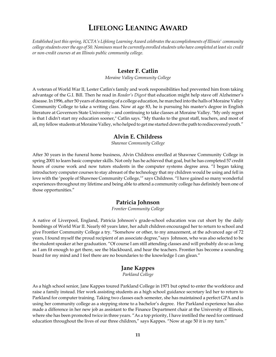# **LIFELONG LEANING AWARD**

*Established just this spring, ICCTA's Lifelong Learning Award celebrates the accomplishments of Illinois' community college students over the ago of 50. Nominees must be currently enrolled students who have completed at least six credit or non-credit courses at an Illinois public community college.*

#### **Lester F. Catlin**

*Moraine Valley Community College*

A veteran of World War II, Lester Catlin's family and work responsibilities had prevented him from taking advantage of the G.I. Bill. Then he read in *Reader's Digest* that education might help stave off Alzheimer's disease. In 1996, after 50 years of dreaming of a college education, he marched into the halls of Moraine Valley Community College to take a writing class. Now at age 83, he is pursuing his master's degree in English literature at Governors State University – and continuing to take classes at Moraine Valley. "My only regret is that I didn't start my education sooner," Catlin says. "My thanks to the great staff, teachers, and most of all, my fellow students at Moraine Valley, who helped to get me started down the path to rediscovered youth."

#### **Alvin E. Childress**

*Shawnee Community College*

After 30 years in the funeral home business, Alvin Childress enrolled at Shawnee Community College in spring 2001 to learn basic computer skills. Not only has he achieved that goal, but he has completed 57 credit hours of course work and now tutors students in the computer systems degree area. "I began taking introductory computer courses to stay abreast of the technology that my children would be using and fell in love with the 'people of Shawnee Community College,'" says Childress. "I have gained so many wonderful experiences throughout my lifetime and being able to attend a community college has definitely been one of those opportunities."

#### **Patricia Johnson**

*Frontier Community College*

A native of Liverpool, England, Patricia Johnson's grade-school education was cut short by the daily bombings of World War II. Nearly 60 years later, her adult children encouraged her to return to school and give Frontier Community College a try. "Somehow or other, to my amazement, at the advanced age of 72 years, I found myself the proud recipient of an associate degree,"says Johnson, who was also selected to be the student speaker at her graduation. "Of course I am still attending classes and will probably do so as long as I am fit enough to get there, see the blackboard, and hear the teachers. Frontier has become a sounding board for my mind and I feel there are no boundaries to the knowledge I can glean."

#### **Jane Kappes**

*Parkland College*

As a high school senior, Jane Kappes toured Parkland College in 1971 but opted to enter the workforce and raise a family instead. Her work assisting students as a high school guidance secretary led her to return to Parkland for computer training. Taking two classes each semester, she has maintained a perfect GPA and is using her community college as a stepping stone to a bachelor's degree. Her Parkland experience has also made a difference in her new job as assistant to the Finance Department chair at the University of Illinois, where she has been promoted twice in three years. "As a top priority, I have instilled the need for continued education throughout the lives of our three children," says Kappes. "Now at age 50 it is my turn."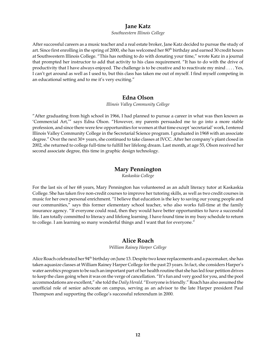#### **Jane Katz**

#### *Southwestern Illinois College*

After successful careers as a music teacher and a real estate broker, Jane Katz decided to pursue the study of art. Since first enrolling in the spring of 2000, she has welcomed her 80<sup>th</sup> birthday and earned 30 credit hours at Southwestern Illinois College. "This has nothing to do with donating your time," wrote Katz in a journal that prompted her instructor to add that activity to his class requirement. "It has to do with the drive of productivity that I have always enjoyed. The challenge is to be creative and to reactivate my mind . . . . Yes, I can't get around as well as I used to, but this class has taken me out of myself. I find myself competing in an educational setting and to me it's very exciting."

#### **Edna Olson**

*Illinois Valley Community College*

"After graduating from high school in 1966, I had planned to pursue a career in what was then known as 'Commercial Art,'" says Edna Olson. "However, my parents persuaded me to go into a more stable profession, and since there were few opportunities for women at that time except 'secretarial' work, I entered Illinois Valley Community College in the Secretarial Science program. I graduated in 1968 with an associate degree." Over the next 30+ years, she continued to take classes at IVCC. After her company's plant closed in 2002, she returned to college full-time to fulfill her lifelong dream. Last month, at age 55, Olson received her second associate degree, this time in graphic design technology.

#### **Mary Pennington**

*Kaskaskia College*

For the last six of her 68 years, Mary Pennington has volunteered as an adult literacy tutor at Kaskaskia College. She has taken five non-credit courses to improve her tutoring skills, as well as two credit courses in music for her own personal enrichment. "I believe that education is the key to saving our young people and our communities," says this former elementary school teacher, who also works full-time at the family insurance agency. "If everyone could read, then they would have better opportunities to have a successful life. I am totally committed to literacy and lifelong learning. I have found time in my busy schedule to return to college. I am learning so many wonderful things and I want that for everyone."

#### **Alice Roach**

*William Rainey Harper College*

Alice Roach celebrated her 94<sup>th</sup> birthday on June 13. Despite two knee replacements and a pacemaker, she has taken aquasize classes at William Rainey Harper College for the past 23 years. In fact, she considers Harper's water aerobics program to be such an important part of her health routine that she has led four petition drives to keep the class going when it was on the verge of cancellation. "It's fun and very good for you, and the pool accommodations are excellent," she told the *Daily Herald*. "Everyone is friendly." Roach has also assumed the unofficial role of senior advocate on campus, serving as an advisor to the late Harper president Paul Thompson and supporting the college's successful referendum in 2000.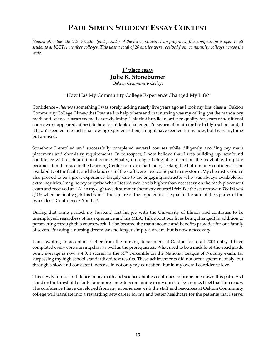# **PAUL SIMON STUDENT ESSAY CONTEST**

*Named after the late U.S. Senator (and founder of the direct student loan program), this competition is open to all students at ICCTA member colleges. This year a total of 26 entries were received from community colleges across the state.*

#### **1st place essay Julie K. Stoneburner** *Oakton Community College*

#### "How Has My Community College Experience Changed My Life?"

Confidence – *that* was something I was sorely lacking nearly five years ago as I took my first class at Oakton Community College. I knew that I wanted to help others and that nursing was my calling, yet the mandatory math and science classes seemed overwhelming. This first hurdle in order to qualify for years of additional coursework appeared, at best, to be a formidable challenge. I'd sworn off math for life in high school and, if it hadn't seemed like such a harrowing experience then, it might have seemed funny now, but I was anything but amused.

Somehow I enrolled and successfully completed several courses while diligently avoiding my math placement and chemistry requirements. In retrospect, I now believe that I was building up newfound confidence with each additional course. Finally, no longer being able to put off the inevitable, I rapidly became a familiar face in the Learning Center for extra math help, seeking the bottom line: confidence. The availability of the facility and the kindness of the staff were a welcome port in my storm. My chemistry course also proved to be a great experience, largely due to the engaging instructor who was always available for extra inquiries. Imagine my surprise when I tested two levels higher than necessary on the math placement exam and received an "A" in my eight-week summer chemistry course! I felt like the scarecrow in *The Wizard of Oz* when he finally gets his brain. "The square of the hypotenuse is equal to the sum of the squares of the two sides." Confidence? You bet!

During that same period, my husband lost his job with the University of Illinois and continues to be unemployed, regardless of his experience and his MBA. Talk about our lives being changed! In addition to persevering through this coursework, I also became the main income and benefits provider for our family of seven. Pursuing a nursing dream was no longer simply a dream, but is now a necessity.

I am awaiting an acceptance letter from the nursing department at Oakton for a fall 2004 entry. I have completed every core nursing class as well as the prerequisites. What used to be a middle-of-the-road grade point average is now a 4.0. I scored in the 95<sup>th</sup> percentile on the National League of Nursing exam; far surpassing my high school standardized test results. These achievements did not occur spontaneously, but through a slow and consistent increase in not only my education, but in my overall confidence level.

This newly found confidence in my math and science abilities continues to propel me down this path. As I stand on the threshold of only four more semesters remaining in my quest to be a nurse, I feel that I am ready. The confidence I have developed from my experiences with the staff and resources at Oakton Community college will translate into a rewarding new career for me and better healthcare for the patients that I serve.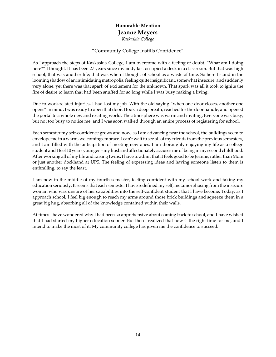## **Honorable Mention Jeanne Meyers**

*Kaskaskia College*

#### "Community College Instills Confidence"

As I approach the steps of Kaskaskia College, I am overcome with a feeling of doubt. "What am I doing here?" I thought. It has been 27 years since my body last occupied a desk in a classroom. But that was high school; that was another life; that was when I thought of school as a waste of time. So here I stand in the looming shadow of an intimidating metropolis, feeling quite insignificant, somewhat insecure, and suddenly very alone; yet there was that spark of excitement for the unknown. That spark was all it took to ignite the fire of desire to learn that had been snuffed for so long while I was busy making a living.

Due to work-related injuries, I had lost my job. With the old saying "when one door closes, another one opens" in mind, I was ready to open that door. I took a deep breath, reached for the door handle, and opened the portal to a whole new and exciting world. The atmosphere was warm and inviting. Everyone was busy, but not too busy to notice me, and I was soon walked through an entire process of registering for school.

Each semester my self-confidence grows and now, as I am advancing near the school, the buildings seem to envelope me in a warm, welcoming embrace. I can't wait to see all of my friends from the previous semesters, and I am filled with the anticipation of meeting new ones. I am thoroughly enjoying my life as a college student and I feel 10 years younger – my husband affectionately accuses me of being in my second childhood. After working all of my life and raising twins, I have to admit that it feels good to be Jeanne, rather than Mom or just another dockhand at UPS. The feeling of expressing ideas and having someone listen to them is enthralling, to say the least.

I am now in the middle of my fourth semester, feeling confident with my school work and taking my education seriously. It seems that each semester I have redefined my self, metamorphosing from the insecure woman who was unsure of her capabilities into the self-confident student that I have become. Today, as I approach school, I feel big enough to reach my arms around those brick buildings and squeeze them in a great big hug, absorbing all of the knowledge contained within their walls.

At times I have wondered why I had been so apprehensive about coming back to school, and I have wished that I had started my higher education sooner. But then I realized that now *is* the right time for me, and I intend to make the most of it. My community college has given me the confidence to succeed.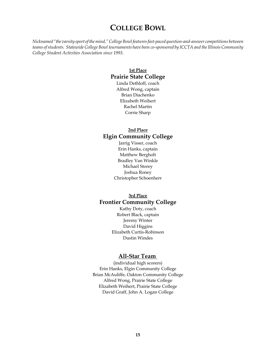# **COLLEGE BOWL**

*Nicknamed "the varsity sport of the mind," College Bowl features fast-paced question-and-answer competitions between teams of students. Statewide College Bowl tournaments have been co-sponsored by ICCTA and the Illinois Community College Student Activities Association since 1993.*

## **1st Place Prairie State College**

Linda Dethloff, coach Alfred Wong, captain Brian Diachenko Elizabeth Weihert Rachel Martin Corrie Sharp

## **2nd Place Elgin Community College**

Jarrig Visser, coach Erin Hanks, captain Matthew Bergholt Bradley Van Winkle Michael Storey Joshua Roney Christopher Schoenherr

#### **3rd Place Frontier Community College**

Kathy Doty, coach Robert Black, captain Jeremy Winter David Higgins Elizabeth Curtis-Robinson Dustin Windes

#### **All-Star Team**

(individual high scorers) Erin Hanks, Elgin Community College Brian McAuliffe, Oakton Community College Alfred Wong, Prairie State College Elizabeth Weihert, Prairie State College David Graff, John A. Logan College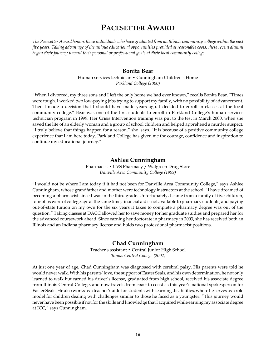# **PACESETTER AWARD**

*The Pacesetter Award honors those individuals who have graduated from an Illinois community college within the past five years. Taking advantage of the unique educational opportunities provided at reasonable costs, these recent alumni began their journey toward their personal or professional goals at their local community college.*

#### **Bonita Bear**

Human services technician • Cunningham Children's Home *Parkland College (2000)*

"When I divorced, my three sons and I left the only home we had ever known," recalls Bonita Bear. "Times were tough. I worked two low-paying jobs trying to support my family, with no possibility of advancement. Then I made a decision that I should have made years ago. I decided to enroll in classes at the local community college." Bear was one of the first students to enroll in Parkland College's human services technician program in 1999. Her Crisis Intervention training was put to the test in March 2000, when she saved the life of an elderly woman and a group of school children and helped apprehend a murder suspect. "I truly believe that things happen for a reason," she says. "It is because of a positive community college experience that I am here today. Parkland College has given me the courage, confidence and inspiration to continue my educational journey."

#### **Ashlee Cunningham**

Pharmacist • CVS Pharmacy / Walgreen Drug Store *Danville Area Community College (1999)*

"I would not be where I am today if it had not been for Danville Area Community College," says Ashlee Cunningham, whose grandfather and mother were technology instructors at the school. "I have dreamed of becoming a pharmacist since I was in the third grade. Unfortunately, I came from a family of five children, four of us were of college age at the same time, financial aid is not available to pharmacy students, and paying out-of-state tuition on my own for the six years it takes to complete a pharmacy degree was out of the question." Taking classes at DACC allowed her to save money for her graduate studies and prepared her for the advanced coursework ahead. Since earning her doctorate in pharmacy in 2003, she has received both an Illinois and an Indiana pharmacy license and holds two professional pharmacist positions.

#### **Chad Cunningham**

Teacher's assistant • Central Junior High School *Illinois Central College (2002)*

At just one year of age, Chad Cunningham was diagnosed with cerebral palsy. His parents were told he would never walk. With his parents' love, the support of Easter Seals, and his own determination, he not only learned to walk but earned his driver's license, graduated from high school, received his associate degree from Illinois Central College, and now travels from coast to coast as this year's national spokesperson for Easter Seals. He also works as a teacher's aide for students with learning disabilities, where he serves as a role model for children dealing with challenges similar to those he faced as a youngster. "This journey would never have been possible if not for the skills and knowledge that I acquired while earning my associate degree at ICC," says Cunningham.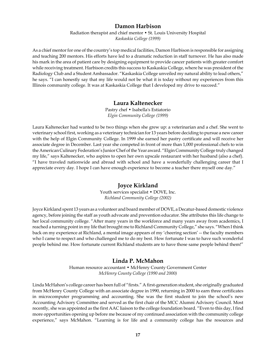#### **Damon Harbison**

Radiation therapist and chief mentor • St. Louis University Hospital *Kaskaskia College (1999)*

As a chief mentor for one of the country's top medical facilities, Damon Harbison is responsible for assigning and teaching 200 mentors. His efforts have led to a dramatic reduction in staff turnover. He has also made his mark in the area of patient care by designing equipment to provide cancer patients with greater comfort while receiving treatment. Harbison credits this success to Kaskaskia College, where he was president of the Radiology Club and a Student Ambassador. "Kaskaskia College unveiled my natural ability to lead others," he says. "I can honestly say that my life would not be what it is today without my experiences from this Illinois community college. It was at Kaskaskia College that I developed my drive to succeed."

#### **Laura Kaltenecker**

Pastry chef • Isabella's Estiatorio *Elgin Community College (1999)*

Laura Kaltenecker had wanted to be two things when she grew up: a veterinarian and a chef. She went to veterinary school first, working as a veterinary technician for 13 years before deciding to pursue a new career with the help of Elgin Community College. In 1999 she earned her pastry certificate and will receive her associate degree in December. Last year she competed in front of more than 1,000 professional chefs to win the American Culinary Federation's Junior Chef of the Year award. "Elgin Community College truly changed my life," says Kaltenecker, who aspires to open her own upscale restaurant with her husband (also a chef). "I have traveled nationwide and abroad with school and have a wonderfully challenging career that I appreciate every day. I hope I can have enough experience to become a teacher there myself one day."

#### **Joyce Kirkland**

Youth services specialist • DOVE, Inc. *Richland Community College (2002)*

Joyce Kirkland spent 13 years as a volunteer and board member of DOVE, a Decatur-based domestic violence agency, before joining the staff as youth advocate and prevention educator. She attributes this life change to her local community college. "After many years in the workforce and many years away from academics, I reached a turning point in my life that brought me to Richland Community College," she says. "When I think back on my experience at Richland, a mental image appears of my 'cheering section' -- the faculty members who I came to respect and who challenged me to do my best. How fortunate I was to have such wonderful people behind me. How fortunate current Richland students are to have those same people behind them!"

#### **Linda P. McMahon**

Human resource accountant • McHenry County Government Center *McHenry County College (1990 and 2000)*

Linda McHahon's college career has been full of "firsts." A first-generation student, she originally graduated from McHenry County College with an associate degree in 1990, returning in 2000 to earn three certificates in microcomputer programming and accounting. She was the first student to join the school's new Accounting Advisory Committee and served as the first chair of the MCC Alumni Advisory Council. Most recently, she was appointed as the first AAC liaison to the college foundation board. "Even to this day, I find more opportunities opening up before me because of my continued association with the community college experience," says McMahon. "Learning is for life and a community college has the resources and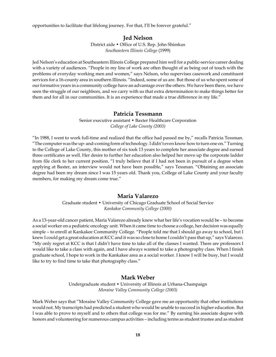opportunities to facilitate that lifelong journey. For that, I'll be forever grateful."

#### **Jed Nelson** District aide • Office of U.S. Rep. John Shimkus *Southeastern Illinois College* (1999)

Jed Nelson's education at Southeastern Illinois College prepared him well for a public-service career dealing with a variety of audiences. "People in my line of work are often thought of as being out of touch with the problems of everyday working men and women," says Nelson, who supervises casework and constituent services for a 16-county area in southern Illinois. "Indeed, some of us are. But those of us who spent some of our formative years in a community college have an advantage over the others. We have been there, we have seen the struggle of our neighbors, and we carry with us that extra determination to make things better for them and for all in our communities. It is an experience that made a true difference in my life."

#### **Patricia Tessmann**

Senior executive assistant • Baxter Healthcare Corporation *College of Lake County (2003)*

"In 1988, I went to work full-time and realized that the office had passed me by," recalls Patricia Tessman. "The computer was the up- and-coming form of technology. I didn't even know how to turn one on." Turning to the College of Lake County, this mother of six took 13 years to complete her associate degree and earned three certificates as well. Her desire to further her education also helped her move up the corporate ladder from file clerk to her current position. "I truly believe that if I had not been in pursuit of a degree when applying at Baxter, an interview would not have been possible," says Tessman. "Obtaining an associate degree had been my dream since I was 15 years old. Thank you, College of Lake County and your faculty members, for making my dream come true."

#### **Maria Valarezo**

Graduate student • University of Chicago Graduate School of Social Service *Kankakee Community College (2000)*

As a 13-year-old cancer patient, Maria Valarezo already knew what her life's vocation would be – to become a social worker on a pediatric oncology unit. When it came time to choose a college, her decision was equally simple – to enroll at Kankakee Community College. "People told me that I should go away to school, but I knew I could get a great education at KCC and it was so close to home I couldn't pass that up," says Valarezo. "My only regret at KCC is that I didn't have time to take all of the classes I wanted. There are professors I would like to take a class with again, and I have always wanted to take a photography class. When I finish graduate school, I hope to work in the Kankakee area as a social worker. I know I will be busy, but I would like to try to find time to take that photography class."

#### **Mark Weber**

Undergraduate student • University of Illinois at Urbana-Champaign *Moraine Valley Community College (2003)*

Mark Weber says that "Moraine Valley Community College gave me an opportunity that other institutions would not. My transcripts had predicted a student who would be unable to succeed in higher education. But I was able to prove to myself and to others that college was for me." By earning his associate degree with honors and volunteering for numerous campus activities – including terms as student trustee and as student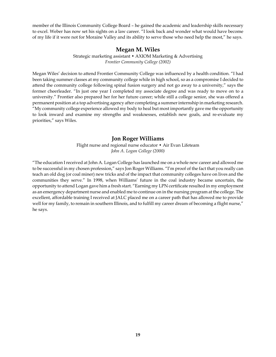member of the Illinois Community College Board – he gained the academic and leadership skills necessary to excel. Weber has now set his sights on a law career. "I look back and wonder what would have become of my life if it were not for Moraine Valley and its ability to serve those who need help the most," he says.

#### **Megan M. Wiles**

Strategic marketing assistant • AXIOM Marketing & Advertising *Frontier Community College (2002)*

Megan Wiles' decision to attend Frontier Community College was influenced by a health condition. "I had been taking summer classes at my community college while in high school, so as a compromise I decided to attend the community college following spinal fusion surgery and not go away to a university," says the former cheerleader. "In just one year I completed my associate degree and was ready to move on to a university." Frontier also prepared her for her future career; while still a college senior, she was offered a permanent position at a top advertising agency after completing a summer internship in marketing research. "My community college experience allowed my body to heal but most importantly gave me the opportunity to look inward and examine my strengths and weaknesses, establish new goals, and re-evaluate my priorities," says Wiles.

#### **Jon Roger Williams**

Flight nurse and regional nurse educator • Air Evan Lifeteam *John A. Logan College (2000)*

"The education I received at John A. Logan College has launched me on a whole new career and allowed me to be successful in my chosen profession," says Jon Roger Williams. "I'm proof of the fact that you really can teach an old dog (or coal miner) new tricks and of the impact that community colleges have on lives and the communities they serve." In 1998, when Williams' future in the coal industry became uncertain, the opportunity to attend Logan gave him a fresh start. "Earning my LPN certificate resulted in my employment as an emergency department nurse and enabled me to continue on in the nursing program at the college. The excellent, affordable training I received at JALC placed me on a career path that has allowed me to provide well for my family, to remain in southern Illinois, and to fulfill my career dream of becoming a flight nurse," he says.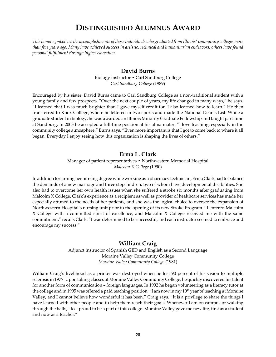# **DISTINGUISHED ALUMNUS AWARD**

*This honor symbolizes the accomplishments of those individuals who graduated from Illinois' community colleges more than five years ago. Many have achieved success in artistic, technical and humanitarian endeavors; others have found personal fulfillment through higher education.*

#### **David Burns**

Biology instructor • Carl Sandburg College *Carl Sandburg College* (1989)

Encouraged by his sister, David Burns came to Carl Sandburg College as a non-traditional student with a young family and few prospects. "Over the next couple of years, my life changed in many ways," he says. "I learned that I was much brighter than I gave myself credit for. I also learned how to learn." He then transferred to Knox College, where he lettered in two sports and made the National Dean's List. While a graduate student in biology, he was awarded an Illinois Minority Graduate Fellowship and taught part-time at Sandburg. In 2003 he accepted a full-time position at his alma mater. "I love teaching, especially in the community college atmosphere," Burns says. "Even more important is that I got to come back to where it all began. Everyday I enjoy seeing how this organization is shaping the lives of others."

#### **Erma L. Clark**

Manager of patient representatives • Northwestern Memorial Hospital *Malcolm X College* (1990)

In addition to earning her nursing degree while working as a pharmacy technician, Erma Clark had to balance the demands of a new marriage and three stepchildren, two of whom have developmental disabilities. She also had to overcome her own health issues when she suffered a stroke six months after graduating from Malcolm X College. Clark's experience as a recipient as well as provider of healthcare services has made her especially attuned to the needs of her patients, and she was the logical choice to oversee the expansion of Northwestern Hospital's nursing unit prior to the opening of its new Stroke Program. "I entered Malcolm X College with a committed spirit of excellence, and Malcolm X College received me with the same commitment," recalls Clark. "I was determined to be successful, and each instructor seemed to embrace and encourage my success."

#### **William Craig**

Adjunct instructor of Spanish GED and English as a Second Language Moraine Valley Community College *Moraine Valley Community College* (1981)

William Craig's livelihood as a printer was destroyed when he lost 90 percent of his vision to multiple sclerosis in 1977. Upon taking classes at Moraine Valley Community College, he quickly discovered his talent for another form of communication – foreign languages. In 1992 he began volunteering as a literacy tutor at the college and in 1995 was offered a paid teaching position. "I am now in my 10<sup>th</sup> year of teaching at Moraine Valley, and I cannot believe how wonderful it has been," Craig says. "It is a privilege to share the things I have learned with other people and to help them reach their goals. Whenever I am on campus or walking through the halls, I feel proud to be a part of this college. Moraine Valley gave me new life, first as a student and now as a teacher."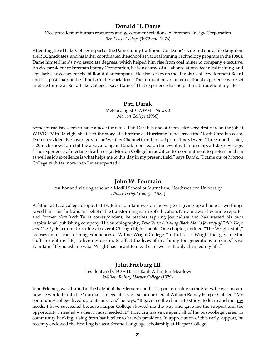#### **Donald H. Dame**

Vice president of human resources and government relations • Freeman Energy Corporation *Rend Lake College* (1972 and 1976)

Attending Rend Lake College is part of the Dame family tradition. Don Dame's wife and one of his daughters are RLC graduates, and his father coordinated the school's Practical Mining Technology program in the 1980s. Dame himself holds two associate degrees, which helped him rise from coal miner to company executive. As vice president of Freeman Energy Corporation, he is in charge of all labor relations, technical training, and legislative advocacy for the billion-dollar company. He also serves on the Illinois Coal Development Board and is a past chair of the Illinois Coal Association. "The foundations of an educational experience were set in place for me at Rend Lake College," says Dame. "That experience has helped me throughout my life."

#### **Pati Darak**

Meteorologist • WWMT News 3 *Morton College* (1986)

Some journalists seem to have a nose for news. Pati Darak is one of them. Her very first day on the job at WTVD-TV in Raleigh, she faced the story of a lifetime as Hurricane Irene struck the North Carolina coast. Darak provided live coverage via The Weather Channel to millions of primetime viewers. Three months later, a 20-inch snowstorm hit the area, and again Darak reported on the event with non-stop, all-day coverage. "The experience of meeting deadlines (at Morton College) in addition to a commitment to professionalism as well as job excellence is what helps me to this day in my present field," says Darak. "I came out of Morton College with far more than I ever expected."

#### **John W. Fountain**

Author and visiting scholar • Medill School of Journalism, Northwestern University *Wilbur Wright College* (1984)

A father at 17, a college dropout at 19, John Fountain was on the verge of giving up all hope. Two things saved him – his faith and his belief in the transforming nature of education. Now an award-winning reporter and former *New York Times* correspondent, he teaches aspiring journalists and has started his own inspirational publishing company. His autobiography, *True Vine: A Young Black Man's Journey of Faith, Hope and Clarity*, is required reading at several Chicago high schools. One chapter, entitled "The Wright Stuff," focuses on his transforming experiences at Wilbur Wright College. "In truth, it is Wright that gave me the stuff to right my life, to live my dream, to affect the lives of my family for generations to come," says Fountain. "If you ask me what Wright has meant to me, the answer is: It only changed my life."

#### **John Frieburg III**

President and CEO • Harris Bank Arlington-Meadows *William Rainey Harper College* (1979)

John Frieburg was drafted at the height of the Vietnam conflict. Upon returning to the States, he was unsure how he would fit into the "normal" college lifestyle – so he enrolled at William Rainey Harper College. "My community college lived up to its mission," he says. "It gave me the chance to study, to learn and met my needs. I have succeeded because Harper College showed me the way and gave me the support and the opportunity I needed – when I most needed it." Frieburg has since spent all of his post-college career in community banking, rising from bank teller to branch president. In appreciation of this early support, he recently endowed the first English as a Second Language scholarship at Harper College.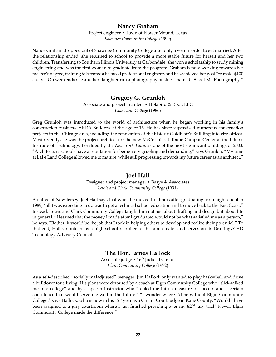#### **Nancy Graham**

Project engineer • Town of Flower Mound, Texas *Shawnee Community College* (1990)

Nancy Graham dropped out of Shawnee Community College after only a year in order to get married. After the relationship ended, she returned to school to provide a more stable future for herself and her two children. Transferring to Southern Illinois University at Carbondale, she won a scholarship to study mining engineering and was the first woman to graduate from the program. Graham is now working towards her master's degree, training to become a licensed professional engineer, and has achieved her goal "to make \$100 a day." On weekends she and her daughter run a photography business named "Shoot Me Photography."

#### **Gregory G. Grunloh**

Associate and project architect • Holabird & Root, LLC *Lake Land College* (1986)

Greg Grunloh was introduced to the world of architecture when he began working in his family's construction business, AKRA Builders, at the age of 16. He has since supervised numerous construction projects in the Chicago area, including the renovation of the historic Goldblatt's Building into city offices. Most recently, he was the project architect for the new McCormick-Tribune Campus Center at the Illinois Institute of Technology, heralded by the *New York Times* as one of the most significant buildings of 2003. "Architecture schools have a reputation for being very grueling and demanding," says Grunloh. "My time at Lake Land College allowed me to mature, while still progressing towards my future career as an architect."

#### **Joel Hall**

Designer and project manager • Basye & Associates *Lewis and Clark Community College* (1991)

A native of New Jersey, Joel Hall says that when he moved to Illinois after graduating from high school in 1989, "all I was expecting to do was to get a technical school education and to move back to the East Coast." Instead, Lewis and Clark Community College taught him not just about drafting and design but about life in general. "I learned that the money I made after I graduated would not be what satisfied me as a person," he says. "Rather, it would be the job that I took in helping others to develop and realize their potential." To that end, Hall volunteers as a high school recruiter for his alma mater and serves on its Drafting/CAD Technology Advisory Council.

#### **The Hon. James Hallock**

Associate judge  $\cdot 16^{\text{th}}$  Judicial Circuit *Elgin Community College* (1972)

As a self-described "socially maladjusted" teenager, Jim Hallock only wanted to play basketball and drive a bulldozer for a living. His plans were detoured by a coach at Elgin Community College who "slick-talked me into college" and by a speech instructor who "fooled me into a measure of success and a certain confidence that would serve me well in the future." "I wonder where I'd be without Elgin Community College," says Hallock, who is now in his  $12<sup>th</sup>$  year as a Circuit Court judge in Kane County. "Would I have been assigned to a jury courtroom where I just finished presiding over my 82<sup>nd</sup> jury trial? Never. Elgin Community College made the difference."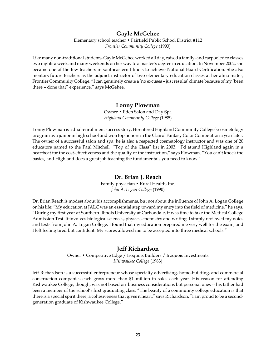#### **Gayle McGehee**

Elementary school teacher • Fairfield Public School District #112 *Frontier Community College* (1993)

Like many non-traditional students, Gayle McGehee worked all day, raised a family, and carpooled to classes two nights a week and many weekends on her way to a master's degree in education. In November 2002, she became one of the few teachers in southeastern Illinois to achieve National Board Certification. She also mentors future teachers as the adjunct instructor of two elementary education classes at her alma mater, Frontier Community College. "I can genuinely create a 'no excuses – just results' climate because of my 'been there – done that" experience," says McGehee.

#### **Lonny Plowman**

Owner • Eden Salon and Day Spa *Highland Community College* (1985)

Lonny Plowman is a dual-enrollment success story. He entered Highland Community College's cosmetology program as a junior in high school and won top honors in the Clairol Fantasy Color Competition a year later. The owner of a successful salon and spa, he is also a respected cosmetology instructor and was one of 20 educators named to the Paul Mitchell "Top of the Class" list in 2003. "I'd attend Highland again in a heartbeat for the cost-effectiveness and the quality of the instruction," says Plowman. "You can't knock the basics, and Highland does a great job teaching the fundamentals you need to know."

#### **Dr. Brian J. Reach**

Family physician • Rural Health, Inc. *John A. Logan College* (1990)

Dr. Brian Reach is modest about his accomplishments, but not about the influence of John A. Logan College on his life: "My education at JALC was an essential step toward my entry into the field of medicine," he says. "During my first year at Southern Illinois University at Carbondale, it was time to take the Medical College Admission Test. It involves biological sciences, physics, chemistry and writing. I simply reviewed my notes and texts from John A. Logan College. I found that my education prepared me very well for the exam, and I left feeling tired but confident. My scores allowed me to be accepted into three medical schools."

#### **Jeff Richardson**

Owner • Competitive Edge / Iroquois Builders / Iroquois Investments *Kishwaukee College* (1983)

Jeff Richardson is a successful entrepreneur whose specialty advertising, home-building, and commercial construction companies each gross more than \$1 million in sales each year. His reason for attending Kishwaukee College, though, was not based on business considerations but personal ones -- his father had been a member of the school's first graduating class. "The beauty of a community college education is that there is a special spirit there, a cohesiveness that gives it heart," says Richardson. "I am proud to be a secondgeneration graduate of Kishwaukee College."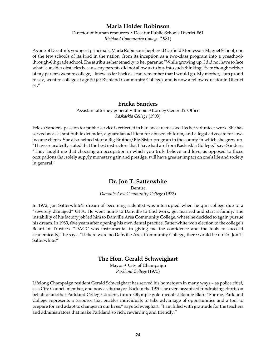#### **Marla Holder Robinson**

Director of human resources • Decatur Public Schools District #61 *Richland Community College* (1981)

As one of Decatur's youngest principals, Marla Robinson shephered Garfield Montessori Magnet School, one of the few schools of its kind in the nation, from its inception as a two-class program into a preschoolthrough-6th grade school. She attributes her tenacity to her parents: "While growing up, I did not have to face what I consider obstacles because my parents did not allow us to buy into such thinking. Even though neither of my parents went to college, I knew as far back as I can remember that I would go. My mother, I am proud to say, went to college at age 50 (at Richland Community College) and is now a fellow educator in District 61."

#### **Ericka Sanders**

Assistant attorney general • Illinois Attorney General's Office *Kaskaskia College* (1993)

Ericka Sanders' passion for public service is reflected in her law career as well as her volunteer work. She has served as assistant public defender, a guardian ad litem for abused children, and a legal advocate for lowincome clients. She also helped start a Big Brother/Big Sister program in the county in which she grew up. "I have repeatedly stated that the best instructors that I have had are from Kaskaskia College," says Sanders. "They taught me that choosing an occupation in which you truly believe and love, as opposed to those occupations that solely supply monetary gain and prestige, will have greater impact on one's life and society in general."

#### **Dr. Jon T. Satterwhite**

Dentist

*Danville Area Community College* (1973)

In 1972, Jon Satterwhite's dream of becoming a dentist was interrupted when he quit college due to a "severely damaged" GPA. He went home to Danville to find work, get married and start a family. The instability of his factory job led him to Danville Area Community College, where he decided to again pursue his dream. In 1989, five years after opening his own dental practice, Satterwhite won election to the college's Board of Trustees. "DACC was instrumental in giving me the confidence and the tools to succeed academically," he says. "If there were no Danville Area Community College, there would be no Dr. Jon T. Satterwhite."

#### **The Hon. Gerald Schweighart**

Mayor • City of Champaign *Parkland College* (1975)

Lifelong Champaign resident Gerald Schweighart has served his hometown in many ways – as police chief, as a City Council member, and now as its mayor. Back in the 1970s he even organized fundraising efforts on behalf of another Parkland College student, future Olympic gold medalist Bonnie Blair. "For me, Parkland College represents a resource that enables individuals to take advantage of opportunities and a tool to prepare for and adapt to changes in our lives," says Schweighart. "I am filled with gratitude for the teachers and administrators that make Parkland so rich, rewarding and friendly."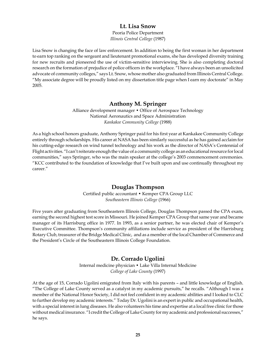#### **Lt. Lisa Snow**

Peoria Police Department *Illinois Central College* (1987)

Lisa Snow is changing the face of law enforcement. In addition to being the first woman in her department to earn top ranking on the sergeant and lieutenant promotional exams, she has developed diversity training for new recruits and pioneered the use of victim-sensitive interviewing. She is also completing doctoral research on the formation of prejudice of police officers in the workplace. "I have always been an unsolicited advocate of community colleges," says Lt. Snow, whose mother also graduated from Illinois Central College. "My associate degree will be proudly listed on my dissertation title page when I earn my doctorate" in May 2005.

#### **Anthony M. Springer**

Alliance development manager • Office of Aerospace Technology National Aeronautics and Space Administration *Kankakee Community College* (1988)

As a high school honors graduate, Anthony Springer paid for his first year at Kankakee Community College entirely through scholarships. His career at NASA has been similarly successful as he has gained acclaim for his cutting-edge research on wind tunnel technology and his work as the director of NASA's Centennial of Flight activities. "I can't reiterate enough the value of a community college as an educational resource for local communities," says Springer, who was the main speaker at the college's 2003 commencement ceremonies. "KCC contributed to the foundation of knowledge that I've built upon and use continually throughout my career."

#### **Douglas Thompson**

Certified public accountant • Kemper CPA Group LLC *Southeastern Illinois College* (1966)

Five years after graduating from Southeastern Illinois College, Douglas Thompson passed the CPA exam, earning the second highest test score in Missouri. He joined Kemper CPA Group that same year and became manager of its Harrisburg office in 1977. In 1993, as a senior partner, he was elected chair of Kemper's Executive Committee. Thompson's community affiliations include service as president of the Harrisburg Rotary Club, treasurer of the Bridge Medical Clinic, and as a member of the local Chamber of Commerce and the President's Circle of the Southeastern Illinois College Foundation.

#### **Dr. Corrado Ugolini**

Internal medicine physician • Lake Villa Internal Medicine *College of Lake County* (1997)

At the age of 15, Corrado Ugolini emigrated from Italy with his parents – and little knowledge of English. "The College of Lake County served as a catalyst in my academic pursuits," he recalls. "Although I was a member of the National Honor Society, I did not feel confident in my academic abilities and I looked to CLC to further develop my academic interests." Today Dr. Ugolini is an expert in public and occupational health, with a special interest in lung diseases. He also volunteers his time and expertise at a local free clinic for those without medical insurance. "I credit the College of Lake County for my academic and professional successes," he says.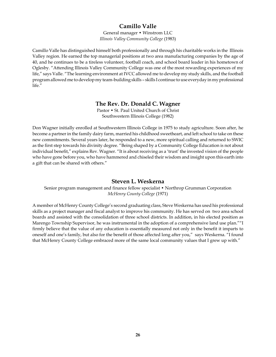## **Camillo Valle**

General manager • Winstrom LLC *Illinois Valley Community College* (1983)

Camillo Valle has distinguished himself both professionally and through his charitable works in the Illinois Valley region. He earned the top managerial positions at two area manufacturing companies by the age of 40, and he continues to be a tireless volunteer, football coach, and school board leader in his hometown of Oglesby. "Attending Illinois Valley Community College was one of the most rewarding experiences of my life," says Valle. "The learning environment at IVCC allowed me to develop my study skills, and the football program allowed me to develop my team-building skills – skills I continue to use everyday in my professional life."

#### **The Rev. Dr. Donald C. Wagner**

Pastor • St. Paul United Church of Christ Southwestern Illinois College (1982)

Don Wagner initially enrolled at Southwestern Illinois College in 1975 to study agriculture. Soon after, he become a partner in the family dairy farm, married his childhood sweetheart, and left school to take on these new commitments. Several years later, he responded to a new, more spiritual calling and returned to SWIC as the first step towards his divinity degree. "Being shaped by a Community College Education is not about individual benefit," explains Rev. Wagner. "It is about receiving as a 'trust' the invested vision of the people who have gone before you, who have hammered and chiseled their wisdom and insight upon this earth into a gift that can be shared with others."

#### **Steven L. Weskerna**

Senior program management and finance fellow specialist • Northrop Grumman Corporation *McHenry County College* (1971)

A member of McHenry County College's second graduating class, Steve Weskerna has used his professional skills as a project manager and fiscal analyst to improve his community. He has served on two area school boards and assisted with the consolidation of three school districts. In addition, in his elected position as Marengo Township Supervisor, he was instrumental in the adoption of a comprehensive land use plan.""I firmly believe that the value of any education is essentially measured not only in the benefit it imparts to oneself and one's family, but also for the benefit of those affected long after you," says Weskerna. "I found that McHenry County College embraced more of the same local community values that I grew up with."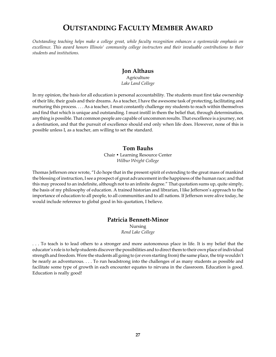# **OUTSTANDING FACULTY MEMBER AWARD**

*Outstanding teaching helps make a college great, while faculty recognition enhances a systemwide emphasis on excellence. This award honors Illinois' community college instructors and their invaluable contributions to their students and institutions.*

#### **Jon Althaus**

Agriculture *Lake Land College*

In my opinion, the basis for all education is personal accountability. The students must first take ownership of their life, their goals and their dreams. As a teacher, I have the awesome task of protecting, facilitating and nurturing this process. . . . As a teacher, I must constantly challenge my students to reach within themselves and find that which is unique and outstanding. I must instill in them the belief that, through determination, anything is possible. That common people are capable of uncommon results. That excellence is a journey, not a destination, and that the pursuit of excellence should end only when life does. However, none of this is possible unless I, as a teacher, am willing to set the standard.

#### **Tom Bauhs**

Chair • Learning Resource Center *Wilbur Wright College*

Thomas Jefferson once wrote, "I do hope that in the present spirit of extending to the great mass of mankind the blessing of instruction, I see a prospect of great advancement in the happiness of the human race; and that this may proceed to an indefinite, although not to an infinite degree." That quotation sums up, quite simply, the basis of my philosophy of education. A trained historian and librarian, I like Jefferson's approach to the importance of education to all people, to all communities and to all nations. If Jefferson were alive today, he would include reference to global good in his quotation, I believe.

#### **Patricia Bennett-Minor**

Nursing *Rend Lake College*

. . . To teach is to lead others to a stronger and more autonomous place in life. It is my belief that the educator's role is to help students discover the possibilities and to direct them to their own place of individual strength and freedom. Were the students all going to (or even starting from) the same place, the trip wouldn't be nearly as adventurous. . . . To run headstrong into the challenges of as many students as possible and facilitate some type of growth in each encounter equates to nirvana in the classroom. Education is good. Education is really good!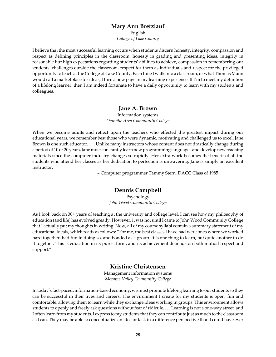#### **Mary Ann Bretzlauf**

English *College of Lake County*

I believe that the most successful learning occurs when students discern honesty, integrity, compassion and respect as defining principles in the classroom: honesty in grading and presenting ideas, integrity in reasonable but high expectations regarding students' abilities to achieve, compassion in remembering our students' challenges outside the classroom, respect for them as individuals and respect for the privileged opportunity to teach at the College of Lake County. Each time I walk into a classroom, or what Thomas Mann would call a marketplace for ideas, I turn a new page in my learning experience. If I'm to meet my definition of a lifelong learner, then I am indeed fortunate to have a daily opportunity to learn with my students and colleagues.

#### **Jane A. Brown**

Information systems *Danville Area Community College*

When we become adults and reflect upon the teachers who effected the greatest impact during our educational years, we remember best those who were dynamic, motivating and challenged us to excel. Jane Brown is one such educator. . . . Unlike many instructors whose content does not drastically change during a period of 10 or 20 years, Jane must constantly learn new programming languages and develop new teaching materials since the computer industry changes so rapidly. Her extra work becomes the benefit of all the students who attend her classes as her dedication to perfection is unwavering. Jane is simply an excellent instructor.

– Computer programmer Tammy Stern, DACC Class of 1985

#### **Dennis Campbell**

Psychology *John Wood Community College*

As I look back on 30+ years of teaching at the university and college level, I can see how my philosophy of education (and life) has evolved greatly. However, it was not until I came to John Wood Community College that I actually put my thoughts in writing. Now, all of my course syllabi contain a summary statement of my educational ideals, which reads as follows: "For me, the best classes I have had were ones where we worked hard together, had fun in doing so, and bonded as a group. It is one thing to learn, but quite another to do it together. This is education in its purest form, and its achievement depends on both mutual respect and support."

#### **Kristine Christensen**

Management information systems *Moraine Valley Community College*

In today's fact-paced, information-based economy, we must promote lifelong learning to our students so they can be successful in their lives and careers. The environment I create for my students is open, fun and comfortable, allowing them to learn while they exchange ideas working in groups. This environment allows students to openly and freely ask questions without fear of ridicule. . . . Learning is not a one-way street, and I often learn from my students. I express to my students that they can contribute just as much to the classroom as I can. They may be able to conceptualize an idea or task in a difference perspective than I could have ever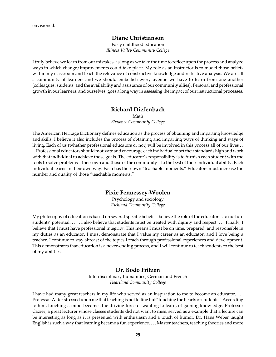#### **Diane Christianson**

Early childhood education *Illinois Valley Community College*

I truly believe we learn from our mistakes, as long as we take the time to reflect upon the process and analyze ways in which change/improvements could take place. My role as an instructor is to model those beliefs within my classroom and teach the relevance of constructive knowledge and reflective analysis. We are all a community of learners and we should embellish every avenue we have to learn from one another (colleagues, students, and the availability and assistance of our community allies). Personal and professional growth in our learners, and ourselves, goes a long way in assessing the impact of our instructional processes.

#### **Richard Diefenbach**

Math

*Shawnee Community College*

The American Heritage Dictionary defines education as the process of obtaining and imparting knowledge and skills. I believe it also includes the process of obtaining and imparting ways of thinking and ways of living. Each of us (whether professional educators or not) will be involved in this process all of our lives . . . . Professional educators should motivate and encourage each individual to set their standards high and work with that individual to achieve those goals. The educator's responsibility is to furnish each student with the tools to solve problems – their own and those of the community – to the best of their individual ability. Each individual learns in their own way. Each has their own "teachable moments." Educators must increase the number and quality of those "teachable moments."

#### **Pixie Fennessey-Woolen**

Psychology and sociology *Richland Community College*

My philosophy of education is based on several specific beliefs. I believe the role of the educator is to nurture students' potential. . . . . I also believe that students must be treated with dignity and respect. . . . Finally, I believe that I must have professional integrity. This means I must be on time, prepared, and responsible in my duties as an educator. I must demonstrate that I value my career as an educator, and I love being a teacher. I continue to stay abreast of the topics I teach through professional experiences and development. This demonstrates that education is a never-ending process, and I will continue to teach students to the best of my abilities.

#### **Dr. Bodo Fritzen**

Interdisciplinary humanities, German and French *Heartland Community College*

I have had many great teachers in my life who served as an inspiration to me to become an educator. . . . Professor Alder stressed upon me that teaching is not telling but "touching the hearts of students." According to him, touching a mind becomes the driving force of wanting to learn, of gaining knowledge. Professor Cazier, a great lecturer whose classes students did not want to miss, served as a example that a lecture can be interesting as long as it is presented with enthusiasm and a touch of humor. Dr. Hans Weber taught English is such a way that learning became a fun experience. . . . Master teachers, teaching theories and more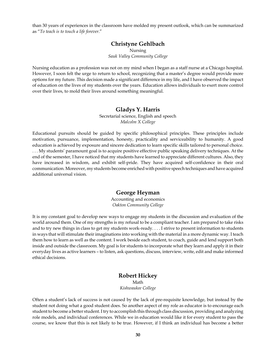than 30 years of experiences in the classroom have molded my present outlook, which can be summarized as "*To teach is to touch a life forever*."

## **Christyne Gehlbach**

Nursing *Sauk Valley Community College*

Nursing education as a profession was not on my mind when I began as a staff nurse at a Chicago hospital. However, I soon felt the urge to return to school, recognizing that a master's degree would provide more options for my future. This decision made a significant difference in my life, and I have observed the impact of education on the lives of my students over the years. Education allows individuals to exert more control over their lives, to mold their lives around something meaningful.

#### **Gladys Y. Harris**

Secretarial science, English and speech *Malcolm X College*

Educational pursuits should be guided by specific philosophical principles. These principles include motivation, pursuance, implementation, honesty, practicality and serviceability to humanity. A good education is achieved by exposure and sincere dedication to learn specific skills tailored to personal choice. . . . My students' paramount goal is to acquire positive effective public speaking delivery techniques. At the end of the semester, I have noticed that my students have learned to appreciate different cultures. Also, they have increased in wisdom, and exhibit self-pride. They have acquired self-confidence in their oral communication. Moreover, my students become enriched with positive speech techniques and have acquired additional universal vision.

#### **George Heyman**

Accounting and economics *Oakton Community College*

It is my constant goal to develop new ways to engage my students in the discussion and evaluation of the world around them. One of my strengths is my refusal to be a compliant teacher. I am prepared to take risks and to try new things in class to get my students work-ready. . . . I strive to present information to students in ways that will stimulate their imaginations into working with the material in a more dynamic way. I teach them how to learn as well as the content. I work beside each student, to coach, guide and lend support both inside and outside the classroom. My goal is for students to incorporate what they learn and apply it in their everyday lives as active learners – to listen, ask questions, discuss, interview, write, edit and make informed ethical decisions.

#### **Robert Hickey** Math *Kishwaukee College*

Often a student's lack of success is not caused by the lack of pre-requisite knowledge, but instead by the student not doing what a good student does. So another aspect of my role as educator is to encourage each student to become a better student. I try to accomplish this through class discussion, providing and analyzing role models, and individual conferences. While we in education would like it for every student to pass the course, we know that this is not likely to be true. However, if I think an individual has become a better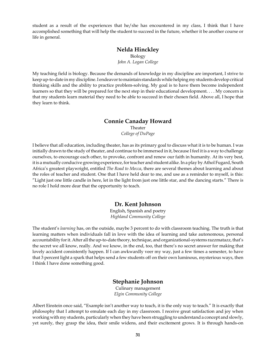student as a result of the experiences that he/she has encountered in my class, I think that I have accomplished something that will help the student to succeed in the future, whether it be another course or life in general.

#### **Nelda Hinckley**

Biology

*John A. Logan College*

My teaching field is biology. Because the demands of knowledge in my discipline are important, I strive to keep up-to-date in my discipline. I endeavor to maintain standards while helping my students develop critical thinking skills and the ability to practice problem-solving. My goal is to have them become independent learners so that they will be prepared for the next step in their educational development. . . . My concern is that my students learn material they need to be able to succeed in their chosen field. Above all, I hope that they learn to think.

#### **Connie Canaday Howard**

Theater *College of DuPage*

I believe that all education, including theater, has as its primary goal to discuss what it is to be human. I was initially drawn to the study of theater, and continue to be immersed in it, because I feel it is a way to challenge ourselves, to encourage each other, to provoke, confront and renew our faith in humanity. At its very best, it is a mutually conducive growing experience, for teacher and student alike. In a play by Athol Fugard, South Africa's greatest playwright, entitled *The Road to Mecca*, there are several themes about learning and about the roles of teacher and student. One that I have held dear to me, and use as a reminder to myself, is this: "Light just one little candle in here, let in the light from just one little star, and the dancing starts." There is no role I hold more dear that the opportunity to teach.

#### **Dr. Kent Johnson**

English, Spanish and poetry *Highland Community College*

The student's *learning* has, on the outside, maybe 3 percent to do with classroom teaching. The truth is that learning matters when individuals fall in love with the idea of learning and take autonomous, personal accountability for it. After all the up-to-date theory, technique, and organizational-systems razzmatazz, that's the secret we all know, really. And we know, in the end, too, that there's no secret answer for making that lovely accident consistently happen. If I can awkwardly veer my way, just a few times a semester, to have that 3 percent light a spark that helps send a few students off on their own luminous, mysterious ways, then I think I have done something good.

#### **Stephanie Johnson**

Culinary management *Elgin Community College*

Albert Einstein once said, "Example isn't another way to teach, it is the only way to teach." It is exactly that philosophy that I attempt to emulate each day in my classroom. I receive great satisfaction and joy when working with my students, particularly when they have been struggling to understand a concept and slowly, yet surely, they grasp the idea, their smile widens, and their excitement grows. It is through hands-on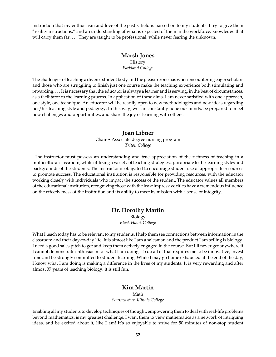instruction that my enthusiasm and love of the pastry field is passed on to my students. I try to give them "reality instructions," and an understanding of what is expected of them in the workforce, knowledge that will carry them far. . . . They are taught to be professional, while never fearing the unknown.

#### **Marsh Jones**

History *Parkland College*

The challenges of teaching a diverse student body and the pleasure one has when encountering eager scholars and those who are struggling to finish just one course make the teaching experience both stimulating and rewarding. . . . It is necessary that the educator is always a learner and is serving, in the best of circumstances, as a facilitator to the learning process. In application of these aims, I am never satisfied with one approach, one style, one technique. An educator will be readily open to new methodologies and new ideas regarding her/his teaching style and pedagogy. In this way, we can constantly hone our minds, be prepared to meet new challenges and opportunities, and share the joy of learning with others.

#### **Joan Libner**

Chair • Associate degree nursing program *Triton College*

"The instructor must possess an understanding and true appreciation of the richness of teaching in a multicultural classroom, while utilizing a variety of teaching strategies appropriate to the learning styles and backgrounds of the students. The instructor is obligated to encourage student use of appropriate resources to promote success. The educational institution is responsible for providing resources, with the educator working closely with individuals who impact the success of the student. The educator values all members of the educational institution, recognizing those with the least impressive titles have a tremendous influence on the effectiveness of the institution and its ability to meet its mission with a sense of integrity.

## **Dr. Dorothy Martin**

Biology *Black Hawk College*

What I teach today has to be relevant to my students. I help them see connections between information in the classroom and their day-to-day life. It is almost like I am a salesman and the product I am selling is biology. I need a good sales pitch to get and keep them actively engaged in the course. But I'll never get anywhere if I cannot demonstrate enthusiasm for what I am doing. To do all of that requires me to be innovative, invest time and be strongly committed to student learning. While I may go home exhausted at the end of the day, I know what I am doing is making a difference in the lives of my students. It is very rewarding and after almost 37 years of teaching biology, it is still fun.

#### **Kim Martin**

Math

*Southeastern Illinois College*

Enabling all my students to develop techniques of thought, empowering them to deal with real-life problems beyond mathematics, is my greatest challenge. I want them to view mathematics as a network of intriguing ideas, and be excited about it, like I am! It's so enjoyable to strive for 50 minutes of non-stop student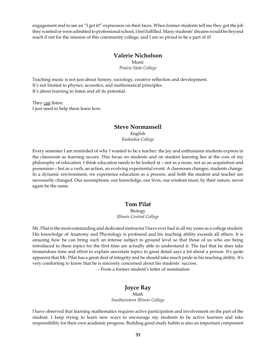engagement and to see an "I get it!" expression on their faces. When former students tell me they got the job they wanted or were admitted to professional school, I feel fulfilled. Many students' dreams would be beyond reach if not for the mission of this community college, and I am so proud to be a part of it!

#### **Valerie Nicholson**

Music *Prairie State College*

Teaching music is not just about history, sociology, creative reflection and development. It's not limited to physics, acoustics, and mathematical principles. It's about learning to listen and all its potential.

They can listen. I just need to help them learn how.

#### **Steve Normansell**

English *Kaskaskia College*

Every semester I am reminded of why I wanted to be a teacher: the joy and enthusiasm students express in the classroom as learning occurs. This focus on students and on student learning lies at the core of my philosophy of education. I think education needs to be looked at – not as a noun, not as an acquisition and possession – but as a verb, an action, an evolving experiential event. A classroom changes; students change. In a dynamic environment, we experience education as a process, and both the student and teacher are necessarily changed. Our assumptions, our knowledge, our lives, our wisdom must, by their nature, never again be the same.

#### **Tom Pilat**

Biology *Illinois Central College*

Mr. Pilat is the most outstanding and dedicated instructor I have ever had in all my years as a college student. His knowledge of Anatomy and Physiology is profound and his teaching ability exceeds all others. It is amazing how he can bring such an intense subject to ground level so that those of us who are being introduced to these topics for the first time are actually able to understand it. The fact that he does take tremendous time and effort to explain uncertain topics in great detail says a lot about a person. It's quite apparent that Mr. Pilat has a great deal of integrity and he should take much pride in his teaching ability. It's very comforting to know that he is sincerely concerned about his students' success.

– From a former student's letter of nomination

## **Joyce Ray**

Math *Southwestern Illinois College*

I have observed that learning mathematics requires active participation and involvement on the part of the student. I keep trying to learn new ways to encourage my students to be active learners and take responsibility for their own academic progress. Building good study habits is also an important component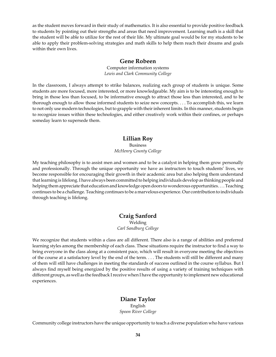as the student moves forward in their study of mathematics. It is also essential to provide positive feedback to students by pointing out their strengths and areas that need improvement. Learning math is a skill that the student will be able to utilize for the rest of their life. My ultimate goal would be for my students to be able to apply their problem-solving strategies and math skills to help them reach their dreams and goals within their own lives.

#### **Gene Robeen**

Computer information systems *Lewis and Clark Community College*

In the classroom, I always attempt to strike balances, realizing each group of students is unique. Some students are more focused, more interested, or more knowledgeable. My aim is to be interesting enough to bring in those less than focused, to be informative enough to attract those less than interested, and to be thorough enough to allow those informed students to seize new concepts. . . . To accomplish this, we learn to not only use modern technologies, but to grapple with their inherent limits. In this manner, students begin to recognize issues within these technologies, and either creatively work within their confines, or perhaps someday learn to supersede them.

#### **Lillian Roy**

Business *McHenry County College*

My teaching philosophy is to assist men and women and to be a catalyst in helping them grow personally and professionally. Through the unique opportunity we have as instructors to touch students' lives, we become responsible for encouraging their growth in their academic area but also helping them understand that learning is lifelong. I have always been committed to helping individuals develop as thinking people and helping them appreciate that education and knowledge open doors to wonderous opportunities. . . . Teaching continues to be a challenge. Teaching continues to be a marvelous experience. Our contribution to individuals through teaching is lifelong.

#### **Craig Sanford** Welding *Carl Sandburg College*

We recognize that students within a class are all different. There also is a range of abilities and preferred learning styles among the membership of each class. These situations require the instructor to find a way to bring everyone in the class along at a consistent pace, which will result in everyone meeting the objectives of the course at a satisfactory level by the end of the term. . . . The students will still be different and many of them will still have challenges in meeting the standards of success outlined in the course syllabus. But I always find myself being energized by the positive results of using a variety of training techniques with different groups, as well as the feedback I receive when I have the opportunity to implement new educational experiences.

## **Diane Taylor** English

*Spoon River College*

Community college instructors have the unique opportunity to teach a diverse population who have various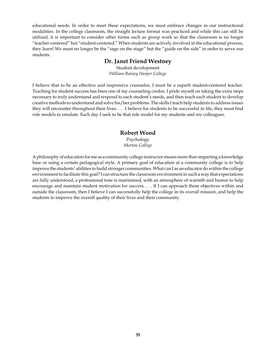educational needs. In order to meet these expectations, we must embrace changes in our instructional modalities. In the college classroom, the straight lecture format was practiced and while this can still be utilized, it is important to consider other forms such as group work so that the classroom is no longer "teacher-centered" but "student-centered." When students are actively involved in the educational process, they learn! We must no longer be the "sage on the stage" but the "guide on the side" in order to serve our students.

#### **Dr. Janet Friend Westney**

Student development *William Rainey Harper College*

I believe that to be an effective and responsive counselor, I must be a superb student-centered teacher. Teaching for student success has been one of my counseling credos. I pride myself on taking the extra steps necessary to truly understand and respond to each student's needs, and then teach each student to develop creative methods to understand and solve his/her problems. The skills I teach help students to address issues they will encounter throughout their lives. . . . I believe for students to be successful in life, they must find role models to emulate. Each day I seek to be that role model for my students and my colleagues.

#### **Robert Wood**

Psychology *Morton College*

A philosophy of education for me as a community college instructor means more than imparting a knowledge base or using a certain pedagogical style. A primary goal of education at a community college is to help improve the students' abilities to build stronger communities. What can I as an educator do within the college environment to facilitate this goal? I can structure the classroom environment in such a way that expectations are fully understood, a professional tone is maintained, with an atmosphere of warmth and humor to help encourage and maintain student motivation for success. . . . If I can approach these objectives within and outside the classroom, then I believe I can successfully help the college in its overall mission, and help the students to improve the overall quality of their lives and their community.